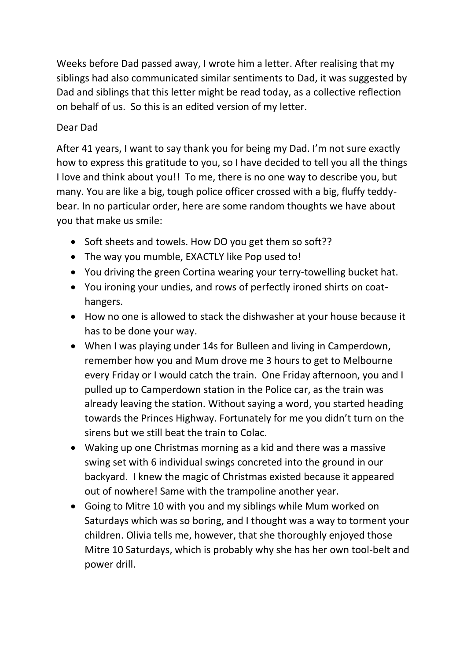Weeks before Dad passed away, I wrote him a letter. After realising that my siblings had also communicated similar sentiments to Dad, it was suggested by Dad and siblings that this letter might be read today, as a collective reflection on behalf of us. So this is an edited version of my letter.

## Dear Dad

After 41 years, I want to say thank you for being my Dad. I'm not sure exactly how to express this gratitude to you, so I have decided to tell you all the things I love and think about you!! To me, there is no one way to describe you, but many. You are like a big, tough police officer crossed with a big, fluffy teddybear. In no particular order, here are some random thoughts we have about you that make us smile:

- Soft sheets and towels. How DO you get them so soft??
- The way you mumble, EXACTLY like Pop used to!
- You driving the green Cortina wearing your terry-towelling bucket hat.
- You ironing your undies, and rows of perfectly ironed shirts on coathangers.
- How no one is allowed to stack the dishwasher at your house because it has to be done your way.
- When I was playing under 14s for Bulleen and living in Camperdown, remember how you and Mum drove me 3 hours to get to Melbourne every Friday or I would catch the train. One Friday afternoon, you and I pulled up to Camperdown station in the Police car, as the train was already leaving the station. Without saying a word, you started heading towards the Princes Highway. Fortunately for me you didn't turn on the sirens but we still beat the train to Colac.
- Waking up one Christmas morning as a kid and there was a massive swing set with 6 individual swings concreted into the ground in our backyard. I knew the magic of Christmas existed because it appeared out of nowhere! Same with the trampoline another year.
- Going to Mitre 10 with you and my siblings while Mum worked on Saturdays which was so boring, and I thought was a way to torment your children. Olivia tells me, however, that she thoroughly enjoyed those Mitre 10 Saturdays, which is probably why she has her own tool-belt and power drill.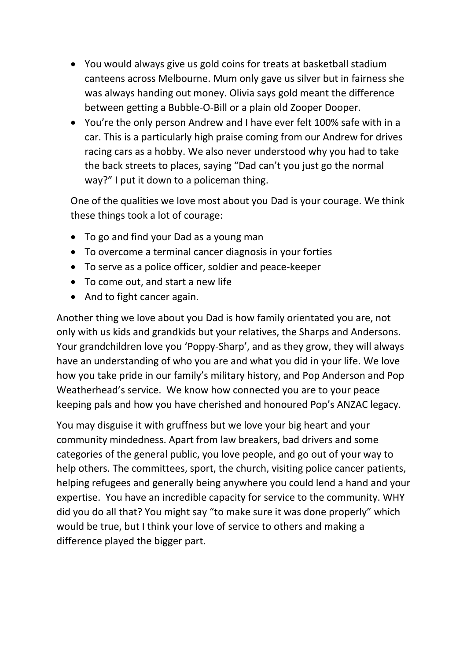- You would always give us gold coins for treats at basketball stadium canteens across Melbourne. Mum only gave us silver but in fairness she was always handing out money. Olivia says gold meant the difference between getting a Bubble-O-Bill or a plain old Zooper Dooper.
- You're the only person Andrew and I have ever felt 100% safe with in a car. This is a particularly high praise coming from our Andrew for drives racing cars as a hobby. We also never understood why you had to take the back streets to places, saying "Dad can't you just go the normal way?" I put it down to a policeman thing.

One of the qualities we love most about you Dad is your courage. We think these things took a lot of courage:

- To go and find your Dad as a young man
- To overcome a terminal cancer diagnosis in your forties
- To serve as a police officer, soldier and peace-keeper
- To come out, and start a new life
- And to fight cancer again.

Another thing we love about you Dad is how family orientated you are, not only with us kids and grandkids but your relatives, the Sharps and Andersons. Your grandchildren love you 'Poppy-Sharp', and as they grow, they will always have an understanding of who you are and what you did in your life. We love how you take pride in our family's military history, and Pop Anderson and Pop Weatherhead's service. We know how connected you are to your peace keeping pals and how you have cherished and honoured Pop's ANZAC legacy.

You may disguise it with gruffness but we love your big heart and your community mindedness. Apart from law breakers, bad drivers and some categories of the general public, you love people, and go out of your way to help others. The committees, sport, the church, visiting police cancer patients, helping refugees and generally being anywhere you could lend a hand and your expertise. You have an incredible capacity for service to the community. WHY did you do all that? You might say "to make sure it was done properly" which would be true, but I think your love of service to others and making a difference played the bigger part.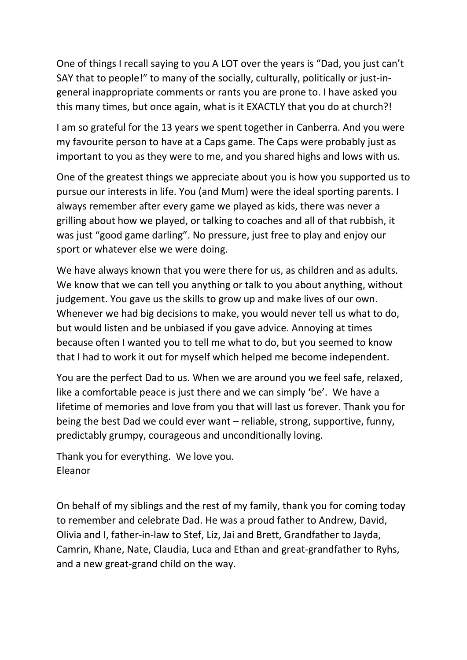One of things I recall saying to you A LOT over the years is "Dad, you just can't SAY that to people!" to many of the socially, culturally, politically or just-ingeneral inappropriate comments or rants you are prone to. I have asked you this many times, but once again, what is it EXACTLY that you do at church?!

I am so grateful for the 13 years we spent together in Canberra. And you were my favourite person to have at a Caps game. The Caps were probably just as important to you as they were to me, and you shared highs and lows with us.

One of the greatest things we appreciate about you is how you supported us to pursue our interests in life. You (and Mum) were the ideal sporting parents. I always remember after every game we played as kids, there was never a grilling about how we played, or talking to coaches and all of that rubbish, it was just "good game darling". No pressure, just free to play and enjoy our sport or whatever else we were doing.

We have always known that you were there for us, as children and as adults. We know that we can tell you anything or talk to you about anything, without judgement. You gave us the skills to grow up and make lives of our own. Whenever we had big decisions to make, you would never tell us what to do, but would listen and be unbiased if you gave advice. Annoying at times because often I wanted you to tell me what to do, but you seemed to know that I had to work it out for myself which helped me become independent.

You are the perfect Dad to us. When we are around you we feel safe, relaxed, like a comfortable peace is just there and we can simply 'be'. We have a lifetime of memories and love from you that will last us forever. Thank you for being the best Dad we could ever want – reliable, strong, supportive, funny, predictably grumpy, courageous and unconditionally loving.

Thank you for everything. We love you. Eleanor

On behalf of my siblings and the rest of my family, thank you for coming today to remember and celebrate Dad. He was a proud father to Andrew, David, Olivia and I, father-in-law to Stef, Liz, Jai and Brett, Grandfather to Jayda, Camrin, Khane, Nate, Claudia, Luca and Ethan and great-grandfather to Ryhs, and a new great-grand child on the way.